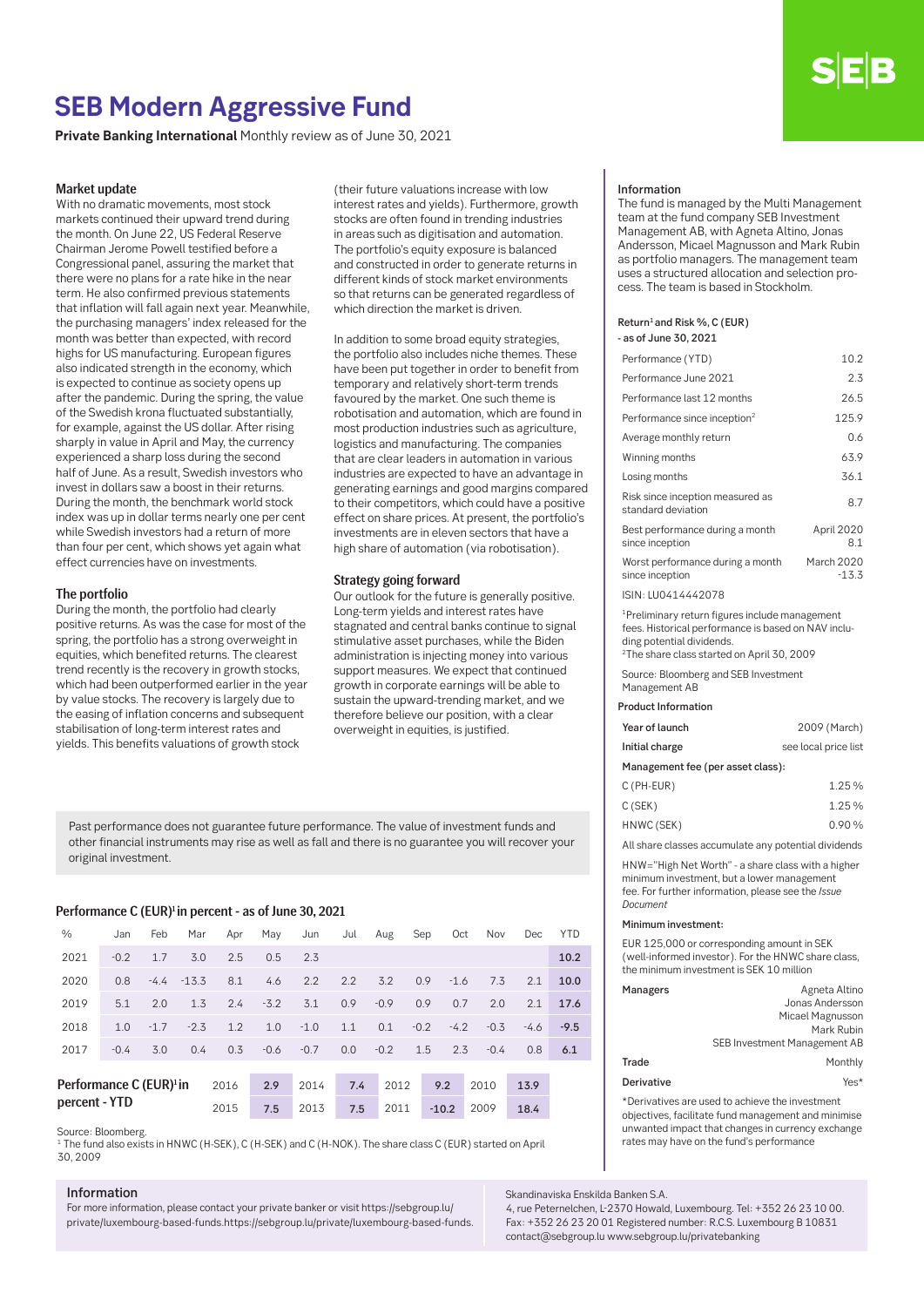# **SEB Modern Aggressive Fund**

**Private Banking International** Monthly review as of June 30, 2021

# Market update

With no dramatic movements, most stock markets continued their upward trend during the month. On June 22, US Federal Reserve Chairman Jerome Powell testified before a Congressional panel, assuring the market that there were no plans for a rate hike in the near term. He also confirmed previous statements that inflation will fall again next year. Meanwhile, the purchasing managers' index released for the month was better than expected, with record highs for US manufacturing. European figures also indicated strength in the economy, which is expected to continue as society opens up after the pandemic. During the spring, the value of the Swedish krona fluctuated substantially, for example, against the US dollar. After rising sharply in value in April and May, the currency experienced a sharp loss during the second half of June. As a result, Swedish investors who invest in dollars saw a boost in their returns. During the month, the benchmark world stock index was up in dollar terms nearly one per cent while Swedish investors had a return of more than four per cent, which shows yet again what effect currencies have on investments.

# The portfolio

During the month, the portfolio had clearly positive returns. As was the case for most of the spring, the portfolio has a strong overweight in equities, which benefited returns. The clearest trend recently is the recovery in growth stocks, which had been outperformed earlier in the year by value stocks. The recovery is largely due to the easing of inflation concerns and subsequent stabilisation of long-term interest rates and yields. This benefits valuations of growth stock

(their future valuations increase with low interest rates and yields). Furthermore, growth stocks are often found in trending industries in areas such as digitisation and automation. The portfolio's equity exposure is balanced and constructed in order to generate returns in different kinds of stock market environments so that returns can be generated regardless of which direction the market is driven.

In addition to some broad equity strategies, the portfolio also includes niche themes. These have been put together in order to benefit from temporary and relatively short-term trends favoured by the market. One such theme is robotisation and automation, which are found in most production industries such as agriculture, logistics and manufacturing. The companies that are clear leaders in automation in various industries are expected to have an advantage in generating earnings and good margins compared to their competitors, which could have a positive effect on share prices. At present, the portfolio's investments are in eleven sectors that have a high share of automation (via robotisation).

# Strategy going forward

Our outlook for the future is generally positive. Long-term yields and interest rates have stagnated and central banks continue to signal stimulative asset purchases, while the Biden administration is injecting money into various support measures. We expect that continued growth in corporate earnings will be able to sustain the upward-trending market, and we therefore believe our position, with a clear overweight in equities, is justified.

Past performance does not guarantee future performance. The value of investment funds and other financial instruments may rise as well as fall and there is no guarantee you will recover your original investment.

### Performance C (EUR)<sup>1</sup> in percent - as of June 30, 2021

| $\frac{0}{0}$                       | Jan    | Feb    | Mar     | Apr  | May    | Jun    | Jul | Aug    | Sep    | Oct     | Nov    | Dec    | <b>YTD</b> |
|-------------------------------------|--------|--------|---------|------|--------|--------|-----|--------|--------|---------|--------|--------|------------|
| 2021                                | $-0.2$ | 1.7    | 3.0     | 2.5  | 0.5    | 2.3    |     |        |        |         |        |        | 10.2       |
| 2020                                | 0.8    | $-4.4$ | $-13.3$ | 8.1  | 4.6    | 2.2    | 2.2 | 3.2    | 0.9    | $-1.6$  | 7.3    | 2.1    | 10.0       |
| 2019                                | 5.1    | 2.0    | 1.3     | 2.4  | $-3.2$ | 3.1    | 0.9 | $-0.9$ | 0.9    | 0.7     | 2.0    | 2.1    | 17.6       |
| 2018                                | 1.0    | $-1.7$ | $-2.3$  | 1.2  | 1.0    | $-1.0$ | 1.1 | 0.1    | $-0.2$ | $-4.2$  | $-0.3$ | $-4.6$ | $-9.5$     |
| 2017                                | $-0.4$ | 3.0    | 0.4     | 0.3  | $-0.6$ | $-0.7$ | 0.0 | $-0.2$ | 1.5    | 2.3     | $-0.4$ | 0.8    | 6.1        |
|                                     |        |        |         |      |        |        |     |        |        |         |        |        |            |
| Performance C (EUR) <sup>1</sup> in |        |        |         | 2016 | 2.9    | 2014   | 7.4 | 2012   |        | 9.2     | 2010   | 13.9   |            |
| percent - YTD                       |        |        |         | 2015 | 7.5    | 2013   | 7.5 | 2011   |        | $-10.2$ | 2009   | 18.4   |            |

Source: Bloomberg.

<sup>1</sup> The fund also exists in HNWC (H-SEK), C (H-SEK) and C (H-NOK). The share class C (EUR) started on April 30, 2009

# Information

For more information, please contact your private banker or visit https://sebgroup.lu/ private/luxembourg-based-funds.https://sebgroup.lu/private/luxembourg-based-funds.

#### Information

The fund is managed by the Multi Management team at the fund company SEB Investment Management AB, with Agneta Altino, Jonas Andersson, Micael Magnusson and Mark Rubin as portfolio managers. The management team uses a structured allocation and selection process. The team is based in Stockholm.

#### Return<sup>1</sup> and Risk %, C (EUR) - as of June 30, 2021

| Performance (YTD)                                      | 10.2                  |
|--------------------------------------------------------|-----------------------|
| Performance June 2021                                  | 2.3                   |
| Performance last 12 months                             | 26.5                  |
| Performance since inception <sup>2</sup>               | 125.9                 |
| Average monthly return                                 | 0.6                   |
| Winning months                                         | 63.9                  |
| Losing months                                          | 36.1                  |
| Risk since inception measured as<br>standard deviation | 8.7                   |
| Best performance during a month<br>since inception     | April 2020<br>8.1     |
| Worst performance during a month<br>since inception    | March 2020<br>$-13.3$ |
|                                                        |                       |

ISIN: LU0414442078

1Preliminary return figures include management fees. Historical performance is based on NAV including potential dividends.

2The share class started on April 30, 2009 Source: Bloomberg and SEB Investment

Management AB

# Product Information

| Year of launch                    | 2009 (March)         |  |  |  |
|-----------------------------------|----------------------|--|--|--|
| Initial charge                    | see local price list |  |  |  |
| Management fee (per asset class): |                      |  |  |  |
| $C$ (PH-EUR)                      | 1.25%                |  |  |  |
| C(SFK)                            | 125%                 |  |  |  |

| HNWC (SEK) |  | 0.90%           |  |
|------------|--|-----------------|--|
| U(1)       |  | <b>1.40 / U</b> |  |

All share classes accumulate any potential dividends

HNW="High Net Worth" - a share class with a higher minimum investment, but a lower management fee. For further information, please see the *Issue Document*

#### Minimum investment:

EUR 125,000 or corresponding amount in SEK (well-informed investor). For the HNWC share class, the minimum investment is SEK 10 million

| Managers   | Agneta Altino                       |
|------------|-------------------------------------|
|            | Jonas Andersson                     |
|            | Micael Magnusson                    |
|            | Mark Rubin                          |
|            | <b>SEB Investment Management AB</b> |
| Trade      | Monthly                             |
| Derivative | Yes*                                |

\*Derivatives are used to achieve the investment objectives, facilitate fund management and minimise unwanted impact that changes in currency exchange rates may have on the fund's performance

Skandinaviska Enskilda Banken S.A.

4, rue Peternelchen, L-2370 Howald, Luxembourg. Tel: +352 26 23 10 00. Fax: +352 26 23 20 01 Registered number: R.C.S. Luxembourg B 10831 contact@sebgroup.lu www.sebgroup.lu/privatebanking